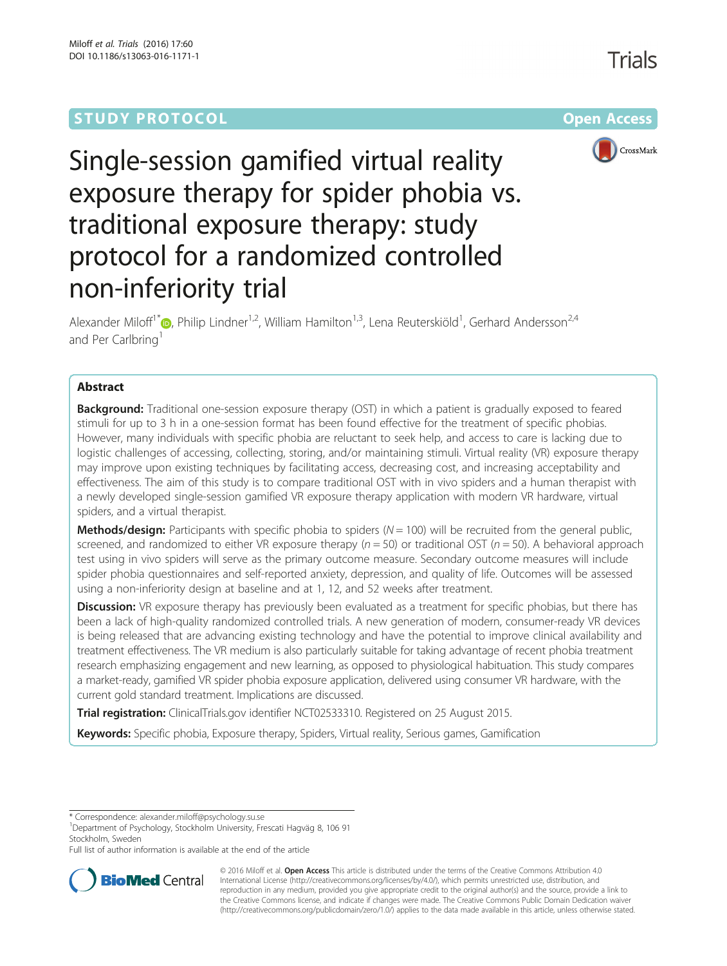# **STUDY PROTOCOL CONSUMING THE RESERVE ACCESS**



# Single-session gamified virtual reality exposure therapy for spider phobia vs. traditional exposure therapy: study protocol for a randomized controlled non-inferiority trial

Alexander Miloff<sup>1\*</sup> (**p**[,](http://orcid.org/0000-0002-9125-8060) Philip Lindner<sup>1,2</sup>, William Hamilton<sup>1,3</sup>, Lena Reuterskiöld<sup>1</sup>, Gerhard Andersson<sup>2,4</sup> and Per Carlbring<sup>1</sup>

# Abstract

**Background:** Traditional one-session exposure therapy (OST) in which a patient is gradually exposed to feared stimuli for up to 3 h in a one-session format has been found effective for the treatment of specific phobias. However, many individuals with specific phobia are reluctant to seek help, and access to care is lacking due to logistic challenges of accessing, collecting, storing, and/or maintaining stimuli. Virtual reality (VR) exposure therapy may improve upon existing techniques by facilitating access, decreasing cost, and increasing acceptability and effectiveness. The aim of this study is to compare traditional OST with in vivo spiders and a human therapist with a newly developed single-session gamified VR exposure therapy application with modern VR hardware, virtual spiders, and a virtual therapist.

**Methods/design:** Participants with specific phobia to spiders ( $N = 100$ ) will be recruited from the general public, screened, and randomized to either VR exposure therapy ( $n = 50$ ) or traditional OST ( $n = 50$ ). A behavioral approach test using in vivo spiders will serve as the primary outcome measure. Secondary outcome measures will include spider phobia questionnaires and self-reported anxiety, depression, and quality of life. Outcomes will be assessed using a non-inferiority design at baseline and at 1, 12, and 52 weeks after treatment.

**Discussion:** VR exposure therapy has previously been evaluated as a treatment for specific phobias, but there has been a lack of high-quality randomized controlled trials. A new generation of modern, consumer-ready VR devices is being released that are advancing existing technology and have the potential to improve clinical availability and treatment effectiveness. The VR medium is also particularly suitable for taking advantage of recent phobia treatment research emphasizing engagement and new learning, as opposed to physiological habituation. This study compares a market-ready, gamified VR spider phobia exposure application, delivered using consumer VR hardware, with the current gold standard treatment. Implications are discussed.

Trial registration: ClinicalTrials.gov identifier [NCT02533310](https://clinicaltrials.gov/ct2/show/NCT02533310?term=vimse&rank=1). Registered on 25 August 2015.

Keywords: Specific phobia, Exposure therapy, Spiders, Virtual reality, Serious games, Gamification

\* Correspondence: [alexander.miloff@psychology.su.se](mailto:alexander.miloff@psychology.su.se) <sup>1</sup>

<sup>1</sup>Department of Psychology, Stockholm University, Frescati Hagväg 8, 106 91 Stockholm, Sweden

Full list of author information is available at the end of the article



© 2016 Miloff et al. Open Access This article is distributed under the terms of the Creative Commons Attribution 4.0 International License [\(http://creativecommons.org/licenses/by/4.0/](http://creativecommons.org/licenses/by/4.0/)), which permits unrestricted use, distribution, and reproduction in any medium, provided you give appropriate credit to the original author(s) and the source, provide a link to the Creative Commons license, and indicate if changes were made. The Creative Commons Public Domain Dedication waiver [\(http://creativecommons.org/publicdomain/zero/1.0/](http://creativecommons.org/publicdomain/zero/1.0/)) applies to the data made available in this article, unless otherwise stated.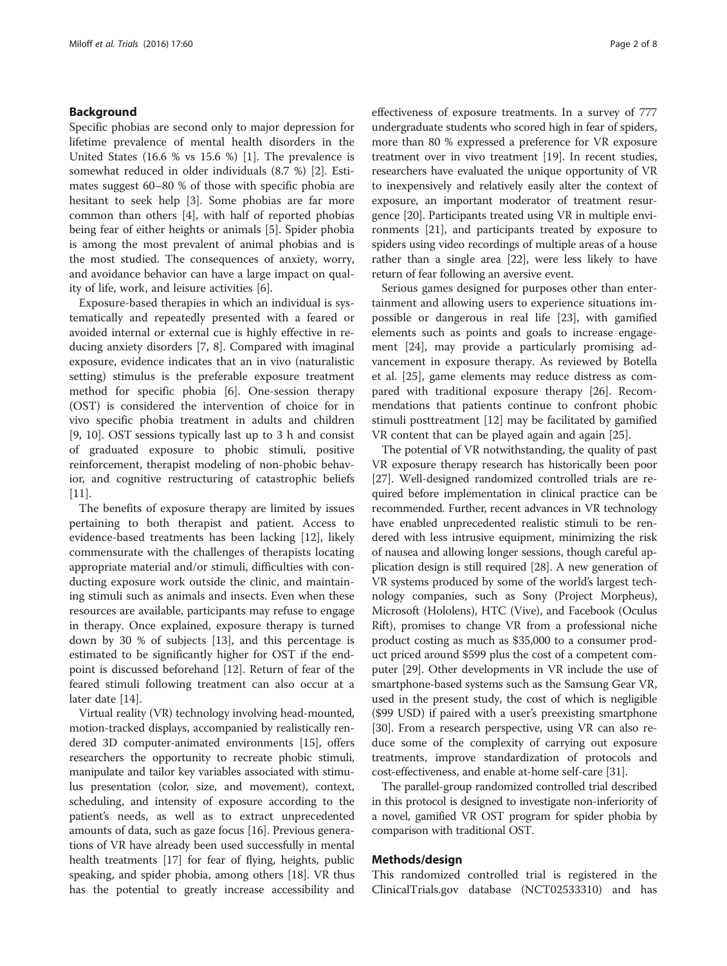# Background

Specific phobias are second only to major depression for lifetime prevalence of mental health disorders in the United States (16.6 % vs 15.6 %) [\[1](#page-6-0)]. The prevalence is somewhat reduced in older individuals (8.7 %) [[2\]](#page-6-0). Estimates suggest 60–80 % of those with specific phobia are hesitant to seek help [[3\]](#page-6-0). Some phobias are far more common than others [\[4](#page-6-0)], with half of reported phobias being fear of either heights or animals [\[5](#page-6-0)]. Spider phobia is among the most prevalent of animal phobias and is the most studied. The consequences of anxiety, worry, and avoidance behavior can have a large impact on quality of life, work, and leisure activities [\[6](#page-6-0)].

Exposure-based therapies in which an individual is systematically and repeatedly presented with a feared or avoided internal or external cue is highly effective in reducing anxiety disorders [\[7](#page-6-0), [8\]](#page-6-0). Compared with imaginal exposure, evidence indicates that an in vivo (naturalistic setting) stimulus is the preferable exposure treatment method for specific phobia [[6\]](#page-6-0). One-session therapy (OST) is considered the intervention of choice for in vivo specific phobia treatment in adults and children [[9, 10](#page-6-0)]. OST sessions typically last up to 3 h and consist of graduated exposure to phobic stimuli, positive reinforcement, therapist modeling of non-phobic behavior, and cognitive restructuring of catastrophic beliefs [[11\]](#page-6-0).

The benefits of exposure therapy are limited by issues pertaining to both therapist and patient. Access to evidence-based treatments has been lacking [[12](#page-6-0)], likely commensurate with the challenges of therapists locating appropriate material and/or stimuli, difficulties with conducting exposure work outside the clinic, and maintaining stimuli such as animals and insects. Even when these resources are available, participants may refuse to engage in therapy. Once explained, exposure therapy is turned down by 30 % of subjects [[13\]](#page-6-0), and this percentage is estimated to be significantly higher for OST if the endpoint is discussed beforehand [[12\]](#page-6-0). Return of fear of the feared stimuli following treatment can also occur at a later date [\[14\]](#page-6-0).

Virtual reality (VR) technology involving head-mounted, motion-tracked displays, accompanied by realistically rendered 3D computer-animated environments [\[15](#page-6-0)], offers researchers the opportunity to recreate phobic stimuli, manipulate and tailor key variables associated with stimulus presentation (color, size, and movement), context, scheduling, and intensity of exposure according to the patient's needs, as well as to extract unprecedented amounts of data, such as gaze focus [\[16\]](#page-6-0). Previous generations of VR have already been used successfully in mental health treatments [\[17](#page-6-0)] for fear of flying, heights, public speaking, and spider phobia, among others [[18](#page-6-0)]. VR thus has the potential to greatly increase accessibility and effectiveness of exposure treatments. In a survey of 777 undergraduate students who scored high in fear of spiders, more than 80 % expressed a preference for VR exposure treatment over in vivo treatment [\[19\]](#page-6-0). In recent studies, researchers have evaluated the unique opportunity of VR to inexpensively and relatively easily alter the context of exposure, an important moderator of treatment resurgence [[20](#page-6-0)]. Participants treated using VR in multiple environments [\[21\]](#page-6-0), and participants treated by exposure to spiders using video recordings of multiple areas of a house rather than a single area [[22](#page-6-0)], were less likely to have return of fear following an aversive event.

Serious games designed for purposes other than entertainment and allowing users to experience situations impossible or dangerous in real life [[23](#page-6-0)], with gamified elements such as points and goals to increase engagement [[24\]](#page-6-0), may provide a particularly promising advancement in exposure therapy. As reviewed by Botella et al. [[25](#page-6-0)], game elements may reduce distress as compared with traditional exposure therapy [\[26\]](#page-6-0). Recommendations that patients continue to confront phobic stimuli posttreatment [[12](#page-6-0)] may be facilitated by gamified VR content that can be played again and again [\[25\]](#page-6-0).

The potential of VR notwithstanding, the quality of past VR exposure therapy research has historically been poor [[27](#page-6-0)]. Well-designed randomized controlled trials are required before implementation in clinical practice can be recommended. Further, recent advances in VR technology have enabled unprecedented realistic stimuli to be rendered with less intrusive equipment, minimizing the risk of nausea and allowing longer sessions, though careful application design is still required [[28](#page-6-0)]. A new generation of VR systems produced by some of the world's largest technology companies, such as Sony (Project Morpheus), Microsoft (Hololens), HTC (Vive), and Facebook (Oculus Rift), promises to change VR from a professional niche product costing as much as \$35,000 to a consumer product priced around \$599 plus the cost of a competent computer [[29](#page-6-0)]. Other developments in VR include the use of smartphone-based systems such as the Samsung Gear VR, used in the present study, the cost of which is negligible (\$99 USD) if paired with a user's preexisting smartphone [[30](#page-6-0)]. From a research perspective, using VR can also reduce some of the complexity of carrying out exposure treatments, improve standardization of protocols and cost-effectiveness, and enable at-home self-care [[31](#page-6-0)].

The parallel-group randomized controlled trial described in this protocol is designed to investigate non-inferiority of a novel, gamified VR OST program for spider phobia by comparison with traditional OST.

#### Methods/design

This randomized controlled trial is registered in the ClinicalTrials.gov database (NCT02533310) and has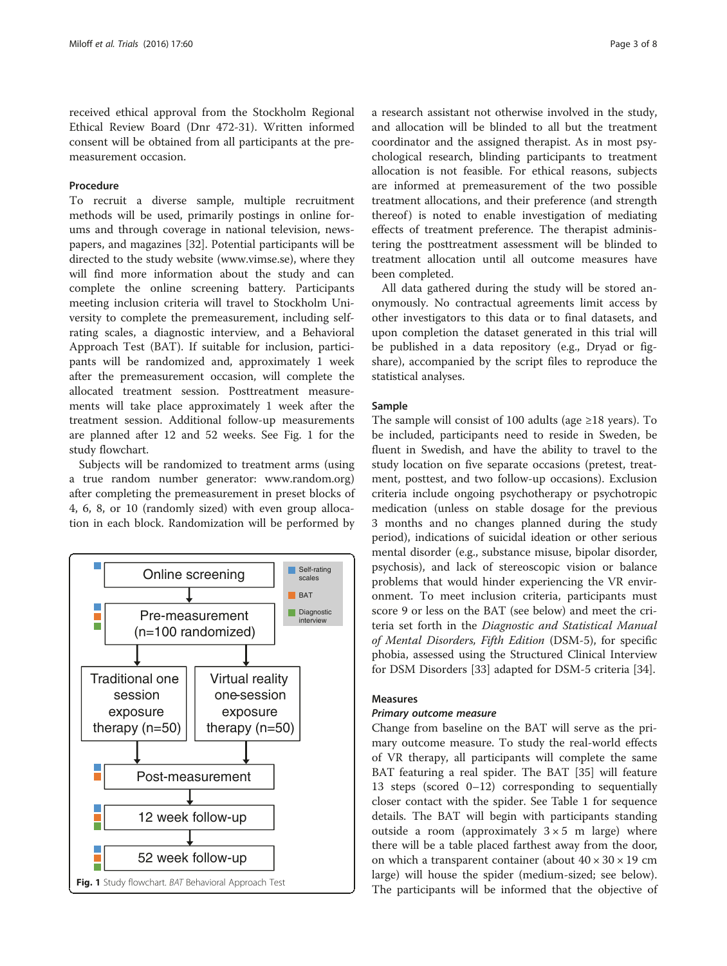received ethical approval from the Stockholm Regional Ethical Review Board (Dnr 472-31). Written informed consent will be obtained from all participants at the premeasurement occasion.

## Procedure

To recruit a diverse sample, multiple recruitment methods will be used, primarily postings in online forums and through coverage in national television, newspapers, and magazines [\[32\]](#page-6-0). Potential participants will be directed to the study website [\(www.vimse.se](http://www.vimse.se)), where they will find more information about the study and can complete the online screening battery. Participants meeting inclusion criteria will travel to Stockholm University to complete the premeasurement, including selfrating scales, a diagnostic interview, and a Behavioral Approach Test (BAT). If suitable for inclusion, participants will be randomized and, approximately 1 week after the premeasurement occasion, will complete the allocated treatment session. Posttreatment measurements will take place approximately 1 week after the treatment session. Additional follow-up measurements are planned after 12 and 52 weeks. See Fig. 1 for the study flowchart.

Subjects will be randomized to treatment arms (using a true random number generator: [www.random.org](http://www.random.org)) after completing the premeasurement in preset blocks of 4, 6, 8, or 10 (randomly sized) with even group allocation in each block. Randomization will be performed by



a research assistant not otherwise involved in the study, and allocation will be blinded to all but the treatment coordinator and the assigned therapist. As in most psychological research, blinding participants to treatment allocation is not feasible. For ethical reasons, subjects are informed at premeasurement of the two possible treatment allocations, and their preference (and strength thereof) is noted to enable investigation of mediating effects of treatment preference. The therapist administering the posttreatment assessment will be blinded to treatment allocation until all outcome measures have been completed.

All data gathered during the study will be stored anonymously. No contractual agreements limit access by other investigators to this data or to final datasets, and upon completion the dataset generated in this trial will be published in a data repository (e.g., Dryad or figshare), accompanied by the script files to reproduce the statistical analyses.

#### Sample

The sample will consist of 100 adults (age  $\geq$ 18 years). To be included, participants need to reside in Sweden, be fluent in Swedish, and have the ability to travel to the study location on five separate occasions (pretest, treatment, posttest, and two follow-up occasions). Exclusion criteria include ongoing psychotherapy or psychotropic medication (unless on stable dosage for the previous 3 months and no changes planned during the study period), indications of suicidal ideation or other serious mental disorder (e.g., substance misuse, bipolar disorder, psychosis), and lack of stereoscopic vision or balance problems that would hinder experiencing the VR environment. To meet inclusion criteria, participants must score 9 or less on the BAT (see below) and meet the criteria set forth in the Diagnostic and Statistical Manual of Mental Disorders, Fifth Edition (DSM-5), for specific phobia, assessed using the Structured Clinical Interview for DSM Disorders [\[33\]](#page-6-0) adapted for DSM-5 criteria [\[34\]](#page-6-0).

#### Measures

#### Primary outcome measure

Change from baseline on the BAT will serve as the primary outcome measure. To study the real-world effects of VR therapy, all participants will complete the same BAT featuring a real spider. The BAT [\[35\]](#page-6-0) will feature 13 steps (scored 0–12) corresponding to sequentially closer contact with the spider. See Table [1](#page-3-0) for sequence details. The BAT will begin with participants standing outside a room (approximately  $3 \times 5$  m large) where there will be a table placed farthest away from the door, on which a transparent container (about  $40 \times 30 \times 19$  cm large) will house the spider (medium-sized; see below). The participants will be informed that the objective of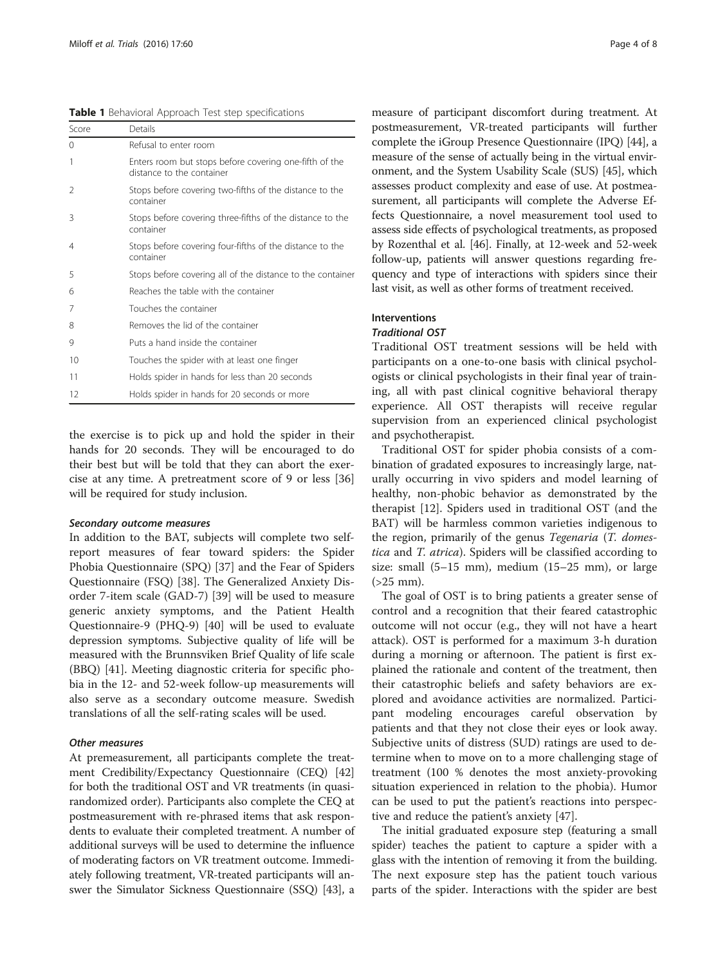<span id="page-3-0"></span>

|  |  |  |  | Table 1 Behavioral Approach Test step specifications |
|--|--|--|--|------------------------------------------------------|
|--|--|--|--|------------------------------------------------------|

| Score         | Details                                                                             |  |  |
|---------------|-------------------------------------------------------------------------------------|--|--|
| $\Omega$      | Refusal to enter room                                                               |  |  |
| 1             | Enters room but stops before covering one-fifth of the<br>distance to the container |  |  |
| $\mathcal{P}$ | Stops before covering two-fifths of the distance to the<br>container                |  |  |
| 3             | Stops before covering three-fifths of the distance to the<br>container              |  |  |
| 4             | Stops before covering four-fifths of the distance to the<br>container               |  |  |
| 5             | Stops before covering all of the distance to the container                          |  |  |
| 6             | Reaches the table with the container                                                |  |  |
| 7             | Touches the container                                                               |  |  |
| 8             | Removes the lid of the container                                                    |  |  |
| 9             | Puts a hand inside the container                                                    |  |  |
| 10            | Touches the spider with at least one finger                                         |  |  |
| 11            | Holds spider in hands for less than 20 seconds                                      |  |  |
| 12            | Holds spider in hands for 20 seconds or more                                        |  |  |

the exercise is to pick up and hold the spider in their hands for 20 seconds. They will be encouraged to do their best but will be told that they can abort the exercise at any time. A pretreatment score of 9 or less [[36](#page-6-0)] will be required for study inclusion.

# Secondary outcome measures

In addition to the BAT, subjects will complete two selfreport measures of fear toward spiders: the Spider Phobia Questionnaire (SPQ) [\[37](#page-6-0)] and the Fear of Spiders Questionnaire (FSQ) [[38](#page-6-0)]. The Generalized Anxiety Disorder 7-item scale (GAD-7) [[39\]](#page-6-0) will be used to measure generic anxiety symptoms, and the Patient Health Questionnaire-9 (PHQ-9) [[40\]](#page-6-0) will be used to evaluate depression symptoms. Subjective quality of life will be measured with the Brunnsviken Brief Quality of life scale (BBQ) [\[41\]](#page-6-0). Meeting diagnostic criteria for specific phobia in the 12- and 52-week follow-up measurements will also serve as a secondary outcome measure. Swedish translations of all the self-rating scales will be used.

#### Other measures

At premeasurement, all participants complete the treatment Credibility/Expectancy Questionnaire (CEQ) [[42](#page-6-0)] for both the traditional OST and VR treatments (in quasirandomized order). Participants also complete the CEQ at postmeasurement with re-phrased items that ask respondents to evaluate their completed treatment. A number of additional surveys will be used to determine the influence of moderating factors on VR treatment outcome. Immediately following treatment, VR-treated participants will answer the Simulator Sickness Questionnaire (SSQ) [\[43](#page-6-0)], a

measure of participant discomfort during treatment. At postmeasurement, VR-treated participants will further complete the iGroup Presence Questionnaire (IPQ) [[44](#page-6-0)], a measure of the sense of actually being in the virtual environment, and the System Usability Scale (SUS) [[45](#page-6-0)], which assesses product complexity and ease of use. At postmeasurement, all participants will complete the Adverse Effects Questionnaire, a novel measurement tool used to assess side effects of psychological treatments, as proposed by Rozenthal et al. [\[46\]](#page-7-0). Finally, at 12-week and 52-week follow-up, patients will answer questions regarding frequency and type of interactions with spiders since their last visit, as well as other forms of treatment received.

# Interventions

# Traditional OST

Traditional OST treatment sessions will be held with participants on a one-to-one basis with clinical psychologists or clinical psychologists in their final year of training, all with past clinical cognitive behavioral therapy experience. All OST therapists will receive regular supervision from an experienced clinical psychologist and psychotherapist.

Traditional OST for spider phobia consists of a combination of gradated exposures to increasingly large, naturally occurring in vivo spiders and model learning of healthy, non-phobic behavior as demonstrated by the therapist [\[12](#page-6-0)]. Spiders used in traditional OST (and the BAT) will be harmless common varieties indigenous to the region, primarily of the genus Tegenaria (T. domestica and T. atrica). Spiders will be classified according to size: small (5–15 mm), medium (15–25 mm), or large  $(>25$  mm).

The goal of OST is to bring patients a greater sense of control and a recognition that their feared catastrophic outcome will not occur (e.g., they will not have a heart attack). OST is performed for a maximum 3-h duration during a morning or afternoon. The patient is first explained the rationale and content of the treatment, then their catastrophic beliefs and safety behaviors are explored and avoidance activities are normalized. Participant modeling encourages careful observation by patients and that they not close their eyes or look away. Subjective units of distress (SUD) ratings are used to determine when to move on to a more challenging stage of treatment (100 % denotes the most anxiety-provoking situation experienced in relation to the phobia). Humor can be used to put the patient's reactions into perspective and reduce the patient's anxiety [\[47\]](#page-7-0).

The initial graduated exposure step (featuring a small spider) teaches the patient to capture a spider with a glass with the intention of removing it from the building. The next exposure step has the patient touch various parts of the spider. Interactions with the spider are best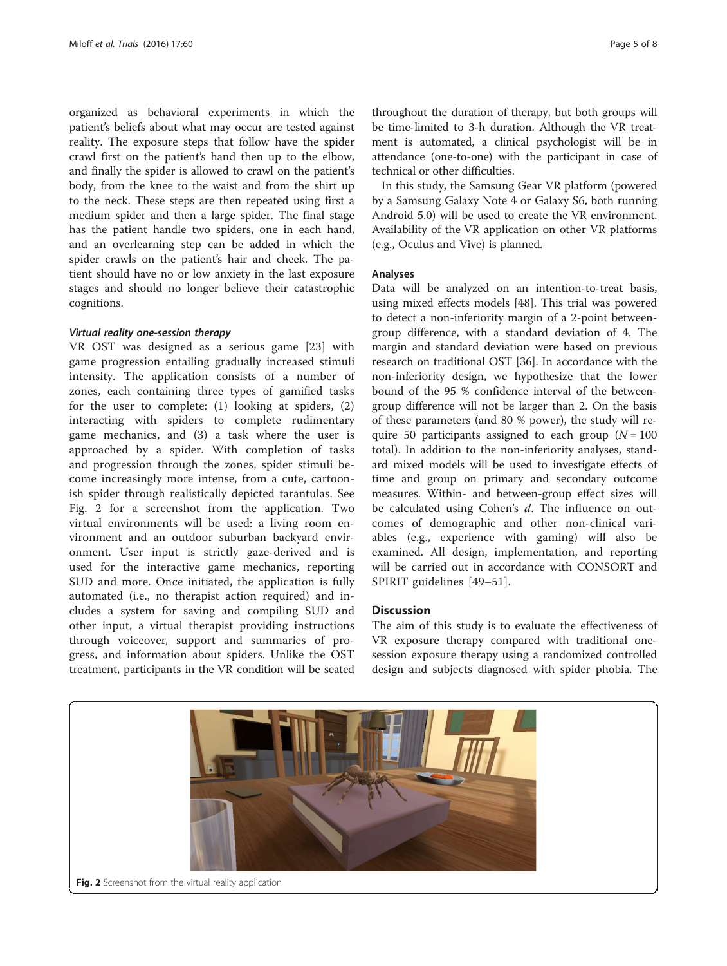organized as behavioral experiments in which the patient's beliefs about what may occur are tested against reality. The exposure steps that follow have the spider crawl first on the patient's hand then up to the elbow, and finally the spider is allowed to crawl on the patient's body, from the knee to the waist and from the shirt up to the neck. These steps are then repeated using first a medium spider and then a large spider. The final stage has the patient handle two spiders, one in each hand, and an overlearning step can be added in which the spider crawls on the patient's hair and cheek. The patient should have no or low anxiety in the last exposure stages and should no longer believe their catastrophic cognitions.

#### Virtual reality one-session therapy

VR OST was designed as a serious game [\[23\]](#page-6-0) with game progression entailing gradually increased stimuli intensity. The application consists of a number of zones, each containing three types of gamified tasks for the user to complete: (1) looking at spiders, (2) interacting with spiders to complete rudimentary game mechanics, and (3) a task where the user is approached by a spider. With completion of tasks and progression through the zones, spider stimuli become increasingly more intense, from a cute, cartoonish spider through realistically depicted tarantulas. See Fig. 2 for a screenshot from the application. Two virtual environments will be used: a living room environment and an outdoor suburban backyard environment. User input is strictly gaze-derived and is used for the interactive game mechanics, reporting SUD and more. Once initiated, the application is fully automated (i.e., no therapist action required) and includes a system for saving and compiling SUD and other input, a virtual therapist providing instructions through voiceover, support and summaries of progress, and information about spiders. Unlike the OST treatment, participants in the VR condition will be seated

throughout the duration of therapy, but both groups will be time-limited to 3-h duration. Although the VR treatment is automated, a clinical psychologist will be in attendance (one-to-one) with the participant in case of technical or other difficulties.

In this study, the Samsung Gear VR platform (powered by a Samsung Galaxy Note 4 or Galaxy S6, both running Android 5.0) will be used to create the VR environment. Availability of the VR application on other VR platforms (e.g., Oculus and Vive) is planned.

#### Analyses

Data will be analyzed on an intention-to-treat basis, using mixed effects models [[48](#page-7-0)]. This trial was powered to detect a non-inferiority margin of a 2-point betweengroup difference, with a standard deviation of 4. The margin and standard deviation were based on previous research on traditional OST [\[36\]](#page-6-0). In accordance with the non-inferiority design, we hypothesize that the lower bound of the 95 % confidence interval of the betweengroup difference will not be larger than 2. On the basis of these parameters (and 80 % power), the study will require 50 participants assigned to each group  $(N = 100$ total). In addition to the non-inferiority analyses, standard mixed models will be used to investigate effects of time and group on primary and secondary outcome measures. Within- and between-group effect sizes will be calculated using Cohen's d. The influence on outcomes of demographic and other non-clinical variables (e.g., experience with gaming) will also be examined. All design, implementation, and reporting will be carried out in accordance with CONSORT and SPIRIT guidelines [[49](#page-7-0)–[51](#page-7-0)].

#### **Discussion**

The aim of this study is to evaluate the effectiveness of VR exposure therapy compared with traditional onesession exposure therapy using a randomized controlled design and subjects diagnosed with spider phobia. The

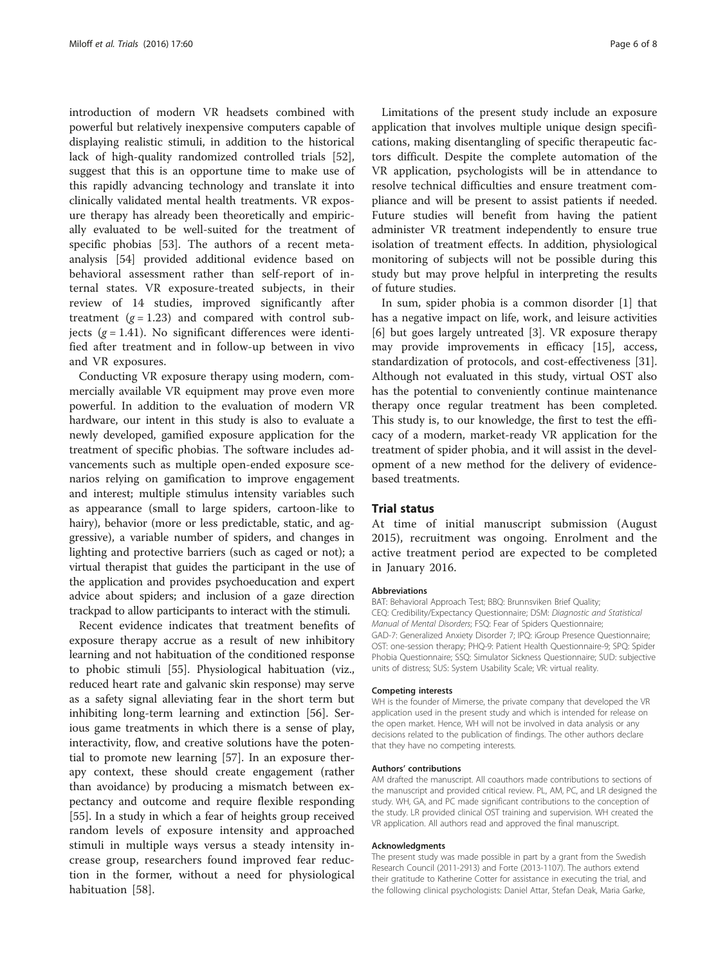introduction of modern VR headsets combined with powerful but relatively inexpensive computers capable of displaying realistic stimuli, in addition to the historical lack of high-quality randomized controlled trials [\[52](#page-7-0)], suggest that this is an opportune time to make use of this rapidly advancing technology and translate it into clinically validated mental health treatments. VR exposure therapy has already been theoretically and empirically evaluated to be well-suited for the treatment of specific phobias [[53\]](#page-7-0). The authors of a recent metaanalysis [[54\]](#page-7-0) provided additional evidence based on behavioral assessment rather than self-report of internal states. VR exposure-treated subjects, in their review of 14 studies, improved significantly after treatment  $(g = 1.23)$  and compared with control subjects  $(g = 1.41)$ . No significant differences were identified after treatment and in follow-up between in vivo and VR exposures.

Conducting VR exposure therapy using modern, commercially available VR equipment may prove even more powerful. In addition to the evaluation of modern VR hardware, our intent in this study is also to evaluate a newly developed, gamified exposure application for the treatment of specific phobias. The software includes advancements such as multiple open-ended exposure scenarios relying on gamification to improve engagement and interest; multiple stimulus intensity variables such as appearance (small to large spiders, cartoon-like to hairy), behavior (more or less predictable, static, and aggressive), a variable number of spiders, and changes in lighting and protective barriers (such as caged or not); a virtual therapist that guides the participant in the use of the application and provides psychoeducation and expert advice about spiders; and inclusion of a gaze direction trackpad to allow participants to interact with the stimuli.

Recent evidence indicates that treatment benefits of exposure therapy accrue as a result of new inhibitory learning and not habituation of the conditioned response to phobic stimuli [[55](#page-7-0)]. Physiological habituation (viz., reduced heart rate and galvanic skin response) may serve as a safety signal alleviating fear in the short term but inhibiting long-term learning and extinction [[56\]](#page-7-0). Serious game treatments in which there is a sense of play, interactivity, flow, and creative solutions have the potential to promote new learning [[57\]](#page-7-0). In an exposure therapy context, these should create engagement (rather than avoidance) by producing a mismatch between expectancy and outcome and require flexible responding [[55\]](#page-7-0). In a study in which a fear of heights group received random levels of exposure intensity and approached stimuli in multiple ways versus a steady intensity increase group, researchers found improved fear reduction in the former, without a need for physiological habituation [\[58](#page-7-0)].

Limitations of the present study include an exposure application that involves multiple unique design specifications, making disentangling of specific therapeutic factors difficult. Despite the complete automation of the VR application, psychologists will be in attendance to resolve technical difficulties and ensure treatment compliance and will be present to assist patients if needed. Future studies will benefit from having the patient administer VR treatment independently to ensure true isolation of treatment effects. In addition, physiological monitoring of subjects will not be possible during this study but may prove helpful in interpreting the results of future studies.

In sum, spider phobia is a common disorder [\[1](#page-6-0)] that has a negative impact on life, work, and leisure activities [[6\]](#page-6-0) but goes largely untreated [\[3](#page-6-0)]. VR exposure therapy may provide improvements in efficacy [[15\]](#page-6-0), access, standardization of protocols, and cost-effectiveness [\[31](#page-6-0)]. Although not evaluated in this study, virtual OST also has the potential to conveniently continue maintenance therapy once regular treatment has been completed. This study is, to our knowledge, the first to test the efficacy of a modern, market-ready VR application for the treatment of spider phobia, and it will assist in the development of a new method for the delivery of evidencebased treatments.

#### Trial status

At time of initial manuscript submission (August 2015), recruitment was ongoing. Enrolment and the active treatment period are expected to be completed in January 2016.

#### Abbreviations

BAT: Behavioral Approach Test; BBQ: Brunnsviken Brief Quality; CEQ: Credibility/Expectancy Questionnaire; DSM: Diagnostic and Statistical Manual of Mental Disorders; FSQ: Fear of Spiders Questionnaire; GAD-7: Generalized Anxiety Disorder 7; IPQ: iGroup Presence Questionnaire; OST: one-session therapy; PHQ-9: Patient Health Questionnaire-9; SPQ: Spider Phobia Questionnaire; SSQ: Simulator Sickness Questionnaire; SUD: subjective units of distress; SUS: System Usability Scale; VR: virtual reality.

#### Competing interests

WH is the founder of Mimerse, the private company that developed the VR application used in the present study and which is intended for release on the open market. Hence, WH will not be involved in data analysis or any decisions related to the publication of findings. The other authors declare that they have no competing interests.

#### Authors' contributions

AM drafted the manuscript. All coauthors made contributions to sections of the manuscript and provided critical review. PL, AM, PC, and LR designed the study. WH, GA, and PC made significant contributions to the conception of the study. LR provided clinical OST training and supervision. WH created the VR application. All authors read and approved the final manuscript.

#### Acknowledgments

The present study was made possible in part by a grant from the Swedish Research Council (2011-2913) and Forte (2013-1107). The authors extend their gratitude to Katherine Cotter for assistance in executing the trial, and the following clinical psychologists: Daniel Attar, Stefan Deak, Maria Garke,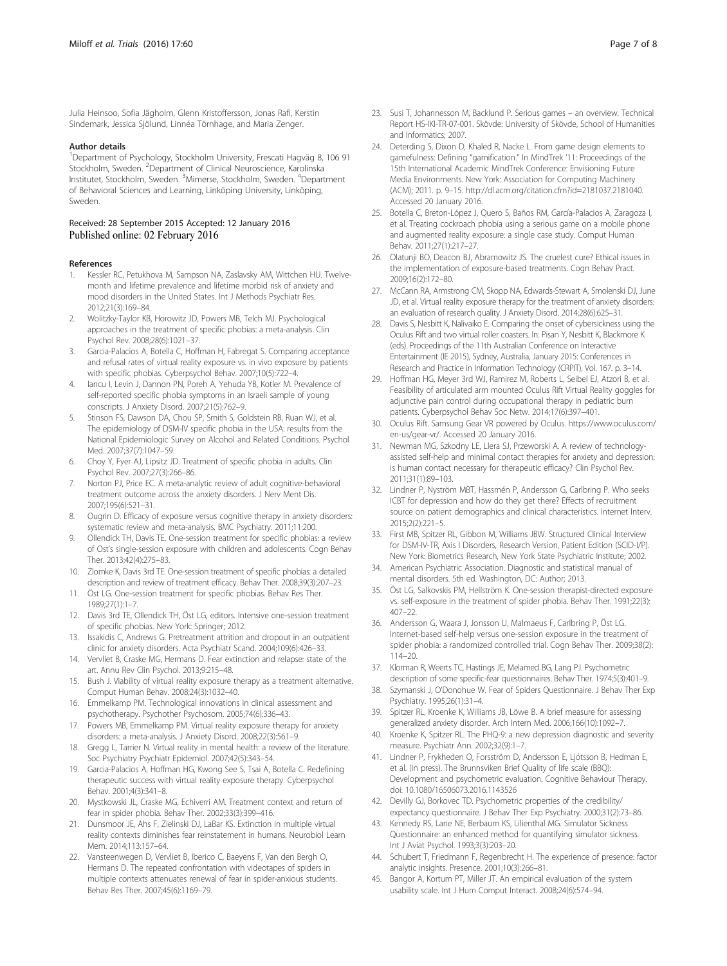<span id="page-6-0"></span>Julia Heinsoo, Sofia Jägholm, Glenn Kristoffersson, Jonas Rafi, Kerstin Sindemark, Jessica Sjölund, Linnéa Törnhage, and Maria Zenger.

#### Author details

<sup>1</sup>Department of Psychology, Stockholm University, Frescati Hagväg 8, 106 91 Stockholm, Sweden. <sup>2</sup>Department of Clinical Neuroscience, Karolinska Institutet, Stockholm, Sweden. <sup>3</sup>Mimerse, Stockholm, Sweden. <sup>4</sup>Department of Behavioral Sciences and Learning, Linköping University, Linköping, Sweden.

#### Received: 28 September 2015 Accepted: 12 January 2016 Published online: 02 February 2016

#### References

- 1. Kessler RC, Petukhova M, Sampson NA, Zaslavsky AM, Wittchen HU. Twelvemonth and lifetime prevalence and lifetime morbid risk of anxiety and mood disorders in the United States. Int J Methods Psychiatr Res. 2012;21(3):169–84.
- 2. Wolitzky-Taylor KB, Horowitz JD, Powers MB, Telch MJ. Psychological approaches in the treatment of specific phobias: a meta-analysis. Clin Psychol Rev. 2008;28(6):1021–37.
- 3. Garcia-Palacios A, Botella C, Hoffman H, Fabregat S. Comparing acceptance and refusal rates of virtual reality exposure vs. in vivo exposure by patients with specific phobias. Cyberpsychol Behav. 2007;10(5):722–4.
- 4. Iancu I, Levin J, Dannon PN, Poreh A, Yehuda YB, Kotler M. Prevalence of self-reported specific phobia symptoms in an Israeli sample of young conscripts. J Anxiety Disord. 2007;21(5):762–9.
- Stinson FS, Dawson DA, Chou SP, Smith S, Goldstein RB, Ruan WJ, et al. The epidemiology of DSM-IV specific phobia in the USA: results from the National Epidemiologic Survey on Alcohol and Related Conditions. Psychol Med. 2007;37(7):1047–59.
- 6. Choy Y, Fyer AJ, Lipsitz JD. Treatment of specific phobia in adults. Clin Psychol Rev. 2007;27(3):266–86.
- 7. Norton PJ, Price EC. A meta-analytic review of adult cognitive-behavioral treatment outcome across the anxiety disorders. J Nerv Ment Dis. 2007;195(6):521–31.
- 8. Ougrin D. Efficacy of exposure versus cognitive therapy in anxiety disorders: systematic review and meta-analysis. BMC Psychiatry. 2011;11:200.
- 9. Ollendick TH, Davis TE. One-session treatment for specific phobias: a review of Ost's single-session exposure with children and adolescents. Cogn Behav Ther. 2013;42(4):275–83.
- 10. Zlomke K, Davis 3rd TE. One-session treatment of specific phobias: a detailed description and review of treatment efficacy. Behav Ther. 2008;39(3):207–23.
- 11. Öst LG. One-session treatment for specific phobias. Behav Res Ther. 1989;27(1):1–7.
- 12. Davis 3rd TE, Ollendick TH, Öst LG, editors. Intensive one-session treatment of specific phobias. New York: Springer; 2012.
- 13. Issakidis C, Andrews G. Pretreatment attrition and dropout in an outpatient clinic for anxiety disorders. Acta Psychiatr Scand. 2004;109(6):426–33.
- 14. Vervliet B, Craske MG, Hermans D. Fear extinction and relapse: state of the art. Annu Rev Clin Psychol. 2013;9:215–48.
- 15. Bush J. Viability of virtual reality exposure therapy as a treatment alternative. Comput Human Behav. 2008;24(3):1032–40.
- 16. Emmelkamp PM. Technological innovations in clinical assessment and psychotherapy. Psychother Psychosom. 2005;74(6):336–43.
- 17. Powers MB, Emmelkamp PM. Virtual reality exposure therapy for anxiety disorders: a meta-analysis. J Anxiety Disord. 2008;22(3):561–9.
- 18. Gregg L, Tarrier N. Virtual reality in mental health: a review of the literature. Soc Psychiatry Psychiatr Epidemiol. 2007;42(5):343–54.
- 19. Garcia-Palacios A, Hoffman HG, Kwong See S, Tsai A, Botella C. Redefining therapeutic success with virtual reality exposure therapy. Cyberpsychol Behav. 2001;4(3):341–8.
- 20. Mystkowski JL, Craske MG, Echiverri AM. Treatment context and return of fear in spider phobia. Behav Ther. 2002;33(3):399–416.
- 21. Dunsmoor JE, Ahs F, Zielinski DJ, LaBar KS. Extinction in multiple virtual reality contexts diminishes fear reinstatement in humans. Neurobiol Learn Mem. 2014;113:157–64.
- 22. Vansteenwegen D, Vervliet B, Iberico C, Baeyens F, Van den Bergh O, Hermans D. The repeated confrontation with videotapes of spiders in multiple contexts attenuates renewal of fear in spider-anxious students. Behav Res Ther. 2007;45(6):1169–79.
- 23. Susi T, Johannesson M, Backlund P. Serious games an overview. Technical Report HS-IKI-TR-07-001. Skövde: University of Skövde, School of Humanities and Informatics; 2007.
- 24. Deterding S, Dixon D, Khaled R, Nacke L. From game design elements to gamefulness: Defining "gamification." In MindTrek '11: Proceedings of the 15th International Academic MindTrek Conference: Envisioning Future Media Environments. New York: Association for Computing Machinery (ACM); 2011. p. 9–15. [http://dl.acm.org/citation.cfm?id=2181037.2181040.](http://dl.acm.org/citation.cfm?id=2181037.2181040) Accessed 20 January 2016.
- 25. Botella C, Breton-López J, Quero S, Baños RM, García-Palacios A, Zaragoza I, et al. Treating cockroach phobia using a serious game on a mobile phone and augmented reality exposure: a single case study. Comput Human Behav. 2011;27(1):217–27.
- 26. Olatunji BO, Deacon BJ, Abramowitz JS. The cruelest cure? Ethical issues in the implementation of exposure-based treatments. Cogn Behav Pract. 2009;16(2):172–80.
- 27. McCann RA, Armstrong CM, Skopp NA, Edwards-Stewart A, Smolenski DJ, June JD, et al. Virtual reality exposure therapy for the treatment of anxiety disorders: an evaluation of research quality. J Anxiety Disord. 2014;28(6):625–31.
- 28. Davis S, Nesbitt K, Nalivaiko E. Comparing the onset of cybersickness using the Oculus Rift and two virtual roller coasters. In: Pisan Y, Nesbitt K, Blackmore K (eds). Proceedings of the 11th Australian Conference on Interactive Entertainment (IE 2015), Sydney, Australia, January 2015: Conferences in Research and Practice in Information Technology (CRPIT), Vol. 167. p. 3–14.
- 29. Hoffman HG, Meyer 3rd WJ, Ramirez M, Roberts L, Seibel EJ, Atzori B, et al. Feasibility of articulated arm mounted Oculus Rift Virtual Reality goggles for adjunctive pain control during occupational therapy in pediatric burn patients. Cyberpsychol Behav Soc Netw. 2014;17(6):397–401.
- 30. Oculus Rift. Samsung Gear VR powered by Oculus. [https://www.oculus.com/](https://www.oculus.com/en-us/gear-vr/) [en-us/gear-vr/](https://www.oculus.com/en-us/gear-vr/). Accessed 20 January 2016.
- 31. Newman MG, Szkodny LE, Llera SJ, Przeworski A. A review of technologyassisted self-help and minimal contact therapies for anxiety and depression: is human contact necessary for therapeutic efficacy? Clin Psychol Rev. 2011;31(1):89–103.
- 32. Lindner P, Nyström MBT, Hassmén P, Andersson G, Carlbring P. Who seeks ICBT for depression and how do they get there? Effects of recruitment source on patient demographics and clinical characteristics. Internet Interv. 2015;2(2):221–5.
- 33. First MB, Spitzer RL, Gibbon M, Williams JBW. Structured Clinical Interview for DSM-IV-TR, Axis I Disorders, Research Version, Patient Edition (SCID-I/P). New York: Biometrics Research, New York State Psychiatric Institute; 2002.
- 34. American Psychiatric Association. Diagnostic and statistical manual of mental disorders. 5th ed. Washington, DC: Author; 2013.
- 35. Öst LG, Salkovskis PM, Hellström K. One-session therapist-directed exposure vs. self-exposure in the treatment of spider phobia. Behav Ther. 1991;22(3): 407–22.
- 36. Andersson G, Waara J, Jonsson U, Malmaeus F, Carlbring P, Öst LG. Internet-based self-help versus one-session exposure in the treatment of spider phobia: a randomized controlled trial. Cogn Behav Ther. 2009;38(2): 114–20.
- 37. Klorman R, Weerts TC, Hastings JE, Melamed BG, Lang PJ. Psychometric description of some specific-fear questionnaires. Behav Ther. 1974;5(3):401–9.
- 38. Szymanski J, O'Donohue W. Fear of Spiders Questionnaire. J Behav Ther Exp Psychiatry. 1995;26(1):31–4.
- 39. Spitzer RL, Kroenke K, Williams JB, Löwe B. A brief measure for assessing generalized anxiety disorder. Arch Intern Med. 2006;166(10):1092–7.
- 40. Kroenke K, Spitzer RL. The PHQ-9: a new depression diagnostic and severity measure. Psychiatr Ann. 2002;32(9):1–7.
- 41. Lindner P, Frykheden O, Forsström D, Andersson E, Ljótsson B, Hedman E, et al. (In press). The Brunnsviken Brief Quality of life scale (BBQ): Development and psychometric evaluation. Cognitive Behaviour Therapy. doi: [10.1080/16506073.2016.1143526](http://dx.doi.org/10.1080/16506073.2016.1143526)
- 42. Devilly GJ, Borkovec TD. Psychometric properties of the credibility/ expectancy questionnaire. J Behav Ther Exp Psychiatry. 2000;31(2):73–86.
- 43. Kennedy RS, Lane NE, Berbaum KS, Lilienthal MG. Simulator Sickness Questionnaire: an enhanced method for quantifying simulator sickness. Int J Aviat Psychol. 1993;3(3):203–20.
- 44. Schubert T, Friedmann F, Regenbrecht H. The experience of presence: factor analytic insights. Presence. 2001;10(3):266–81.
- 45. Bangor A, Kortum PT, Miller JT. An empirical evaluation of the system usability scale. Int J Hum Comput Interact. 2008;24(6):574–94.